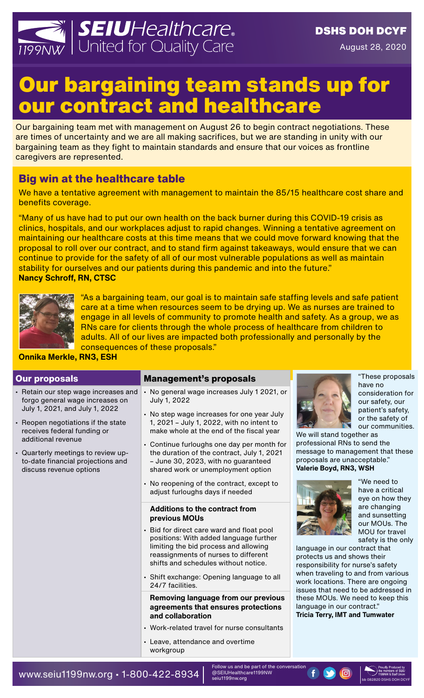

# Our bargaining team stands up for our contract and healthcare

Our bargaining team met with management on August 26 to begin contract negotiations. These are times of uncertainty and we are all making sacrifices, but we are standing in unity with our bargaining team as they fight to maintain standards and ensure that our voices as frontline caregivers are represented.

## **Big win at the healthcare table**

We have a tentative agreement with management to maintain the 85/15 healthcare cost share and benefits coverage.

"Many of us have had to put our own health on the back burner during this COVID-19 crisis as clinics, hospitals, and our workplaces adjust to rapid changes. Winning a tentative agreement on maintaining our healthcare costs at this time means that we could move forward knowing that the proposal to roll over our contract, and to stand firm against takeaways, would ensure that we can continue to provide for the safety of all of our most vulnerable populations as well as maintain stability for ourselves and our patients during this pandemic and into the future." **Nancy Schroff, RN, CTSC**



"As a bargaining team, our goal is to maintain safe staffing levels and safe patient care at a time when resources seem to be drying up. We as nurses are trained to engage in all levels of community to promote health and safety. As a group, we as RNs care for clients through the whole process of healthcare from children to adults. All of our lives are impacted both professionally and personally by the consequences of these proposals."

#### **Onnika Merkle, RN3, ESH**

| <b>Our proposals</b>                                                                                                                                                                                                                                                                                       | <b>Management's proposals</b>                                                                                                                                                                                                                                                                                                                                                                                           |                                                                                                            |
|------------------------------------------------------------------------------------------------------------------------------------------------------------------------------------------------------------------------------------------------------------------------------------------------------------|-------------------------------------------------------------------------------------------------------------------------------------------------------------------------------------------------------------------------------------------------------------------------------------------------------------------------------------------------------------------------------------------------------------------------|------------------------------------------------------------------------------------------------------------|
| • Retain our step wage increases and<br>forgo general wage increases on<br>July 1, 2021, and July 1, 2022<br>- Reopen negotiations if the state<br>receives federal funding or<br>additional revenue<br>- Quarterly meetings to review up-<br>to-date financial projections and<br>discuss revenue options | • No general wage increases July 1 2021, or<br>July 1, 2022<br>- No step wage increases for one year July<br>1, 2021 - July 1, 2022, with no intent to<br>make whole at the end of the fiscal year<br>• Continue furloughs one day per month for<br>the duration of the contract, July 1, 2021<br>- June 30, 2023, with no guaranteed<br>shared work or unemployment option                                             | We will<br>profess<br>messag<br>proposa<br><b>Valerie</b>                                                  |
|                                                                                                                                                                                                                                                                                                            | • No reopening of the contract, except to<br>adjust furloughs days if needed<br><b>Additions to the contract from</b><br>previous MOUs<br>- Bid for direct care ward and float pool<br>positions: With added language further<br>limiting the bid process and allowing<br>reassignments of nurses to different<br>shifts and schedules without notice.<br>• Shift exchange: Opening language to all<br>24/7 facilities. | languag<br>protect:<br>respons<br>when tr<br>work lo<br>issues t<br>these M<br>languag<br><b>Tricia Te</b> |
|                                                                                                                                                                                                                                                                                                            | Removing language from our previous<br>agreements that ensures protections<br>and collaboration<br>• Work-related travel for nurse consultants<br>- Leave, attendance and overtime<br>workgroup                                                                                                                                                                                                                         |                                                                                                            |



"These proposals have no consideration for our safety, our patient's safety, or the safety of our communities.

stand together as ional RNs to send the e to management that these als are unacceptable." Boyd, RN3, WSH



"We need to have a critical eye on how they are changing and sunsetting our MOUs. The MOU for travel safety is the only

ge in our contract that s us and shows their sibility for nurse's safety aveling to and from various cations. There are ongoing hat need to be addressed in 10Us. We need to keep this ge in our contract." **Tricia Terry, IMT and Tumwater**

Follow us and be part of the conversation @SEIUHealthcare1199NW seiu1199nw.org